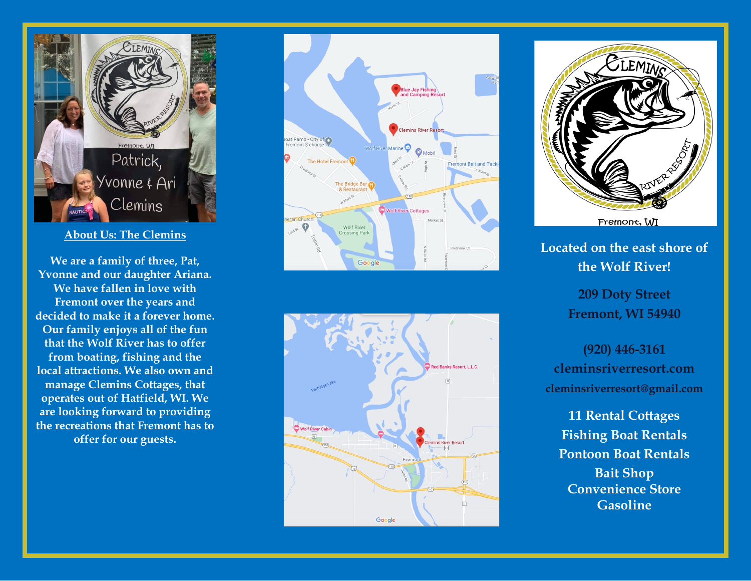

### **About Us: The Clemins**

**We are a family of three, Pat, Yvonne and our daughter Ariana. We have f allen in love with Fremont over the years and decided to make it a forever home. Our family enjoys all of the fun th at the Wolf River has t o offer from boating, fishing and the local attractions. We also own and manage Clemins Cot tages, that operates out of Hatfield, WI. We are looking forward to providing t h e recreations that Fremont has to offer for our guests.** 







**Located on the east shore of the Wolf River!**

> **209 Doty Street Fremont, WI 54940**

**(920) 44 6 - 3161 cleminsriverresort.com cleminsriverresort@gmail.com** 

**11 Rental Cottages Fishing Boat Rentals Pontoon Boat Rentals Bait Shop Convenience Store Gasoline**